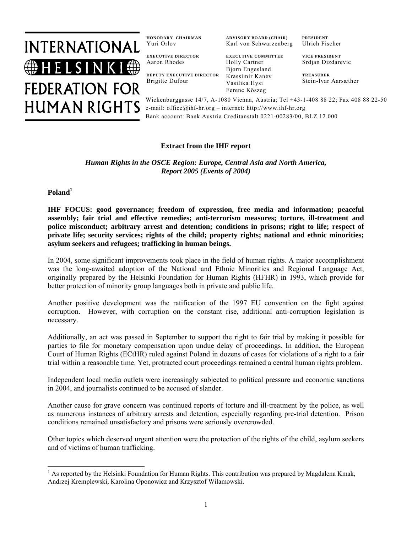

**HONORARY CHAIRMAN**  Yuri Orlov

**ADVISORY BOARD (CHAIR)**  Karl von Schwarzenberg

**EXECUTIVE DIRECTOR**  Aaron Rhodes

**DEPUTY EXECUTIVE DIRECTOR**  Brigitte Dufour

**EXECUTIVE COMMITTEE** Holly Cartner Bjørn Engesland Krassimir Kanev Vasilika Hysi Ferenc Köszeg

**PRESIDENT**  Ulrich Fischer

**VICE PRESIDENT**  Srdjan Dizdarevic

**TREASURER**  Stein-Ivar Aarsæther

Wickenburggasse 14/7, A-1080 Vienna, Austria; Tel +43-1-408 88 22; Fax 408 88 22-50 e-mail: office@ihf-hr.org – internet: http://www.ihf-hr.org Bank account: Bank Austria Creditanstalt 0221-00283/00, BLZ 12 000

# **Extract from the IHF report**

*Human Rights in the OSCE Region: Europe, Central Asia and North America, Report 2005 (Events of 2004)*

**Poland1**

**IHF FOCUS: good governance; freedom of expression, free media and information; peaceful assembly; fair trial and effective remedies; anti-terrorism measures; torture, ill-treatment and police misconduct; arbitrary arrest and detention; conditions in prisons; right to life; respect of private life; security services; rights of the child; property rights; national and ethnic minorities; asylum seekers and refugees; trafficking in human beings.** 

In 2004, some significant improvements took place in the field of human rights. A major accomplishment was the long-awaited adoption of the National and Ethnic Minorities and Regional Language Act, originally prepared by the Helsinki Foundation for Human Rights (HFHR) in 1993, which provide for better protection of minority group languages both in private and public life.

Another positive development was the ratification of the 1997 EU convention on the fight against corruption. However, with corruption on the constant rise, additional anti-corruption legislation is necessary.

Additionally, an act was passed in September to support the right to fair trial by making it possible for parties to file for monetary compensation upon undue delay of proceedings. In addition, the European Court of Human Rights (ECtHR) ruled against Poland in dozens of cases for violations of a right to a fair trial within a reasonable time. Yet, protracted court proceedings remained a central human rights problem.

Independent local media outlets were increasingly subjected to political pressure and economic sanctions in 2004, and journalists continued to be accused of slander.

Another cause for grave concern was continued reports of torture and ill-treatment by the police, as well as numerous instances of arbitrary arrests and detention, especially regarding pre-trial detention. Prison conditions remained unsatisfactory and prisons were seriously overcrowded.

Other topics which deserved urgent attention were the protection of the rights of the child, asylum seekers and of victims of human trafficking.

<sup>&</sup>lt;sup>1</sup> As reported by the Helsinki Foundation for Human Rights. This contribution was prepared by Magdalena Kmak, Andrzej Kremplewski, Karolina Oponowicz and Krzysztof Wilamowski.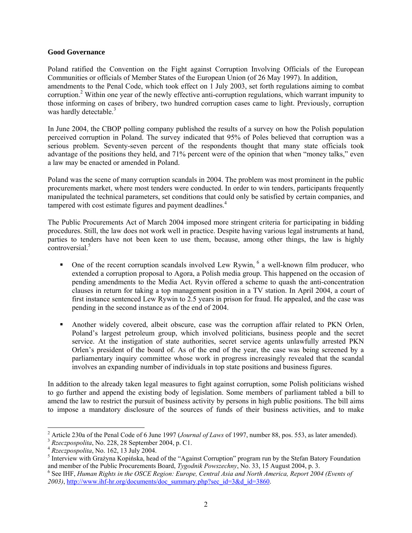#### **Good Governance**

Poland ratified the Convention on the Fight against Corruption Involving Officials of the European Communities or officials of Member States of the European Union (of 26 May 1997). In addition, amendments to the Penal Code, which took effect on 1 July 2003, set forth regulations aiming to combat corruption.<sup>2</sup> Within one year of the newly effective anti-corruption regulations, which warrant impunity to those informing on cases of bribery, two hundred corruption cases came to light. Previously, corruption was hardly detectable.<sup>3</sup>

In June 2004, the CBOP polling company published the results of a survey on how the Polish population perceived corruption in Poland. The survey indicated that 95% of Poles believed that corruption was a serious problem. Seventy-seven percent of the respondents thought that many state officials took advantage of the positions they held, and 71% percent were of the opinion that when "money talks," even a law may be enacted or amended in Poland.

Poland was the scene of many corruption scandals in 2004. The problem was most prominent in the public procurements market, where most tenders were conducted. In order to win tenders, participants frequently manipulated the technical parameters, set conditions that could only be satisfied by certain companies, and tampered with cost estimate figures and payment deadlines.<sup>4</sup>

The Public Procurements Act of March 2004 imposed more stringent criteria for participating in bidding procedures. Still, the law does not work well in practice. Despite having various legal instruments at hand, parties to tenders have not been keen to use them, because, among other things, the law is highly controversial.<sup>5</sup>

- One of the recent corruption scandals involved Lew Rywin,  $\delta$  a well-known film producer, who extended a corruption proposal to Agora, a Polish media group. This happened on the occasion of pending amendments to the Media Act. Ryvin offered a scheme to quash the anti-concentration clauses in return for taking a top management position in a TV station. In April 2004, a court of first instance sentenced Lew Rywin to 2.5 years in prison for fraud. He appealed, and the case was pending in the second instance as of the end of 2004.
- Another widely covered, albeit obscure, case was the corruption affair related to PKN Orlen, Poland's largest petroleum group, which involved politicians, business people and the secret service. At the instigation of state authorities, secret service agents unlawfully arrested PKN Orlen's president of the board of. As of the end of the year, the case was being screened by a parliamentary inquiry committee whose work in progress increasingly revealed that the scandal involves an expanding number of individuals in top state positions and business figures.

In addition to the already taken legal measures to fight against corruption, some Polish politicians wished to go further and append the existing body of legislation. Some members of parliament tabled a bill to amend the law to restrict the pursuit of business activity by persons in high public positions. The bill aims to impose a mandatory disclosure of the sources of funds of their business activities, and to make

<sup>&</sup>lt;sup>2</sup> Article 230a of the Penal Code of 6 June 1997 (*Journal of Laws* of 1997, number 88, pos. 553, as later amended).<br><sup>3</sup> *Rzeczpospolita*, No. 228, 28 September 2004, p. C1.<br><sup>4</sup> *Rzeczpospolita*, No. 162, 13 July 2004.

<sup>&</sup>lt;sup>5</sup> Interview with Grażyna Kopińska, head of the "Against Corruption" program run by the Stefan Batory Foundation and member of the Public Procurements Board, *Tygodnik Powszechny*, No. 33, 15 August 2004, p. 3. 6

See IHF, *Human Rights in the OSCE Region: Europe, Central Asia and North America, Report 2004 (Events of 2003)*, http://www.ihf-hr.org/documents/doc\_summary.php?sec\_id=3&d\_id=3860.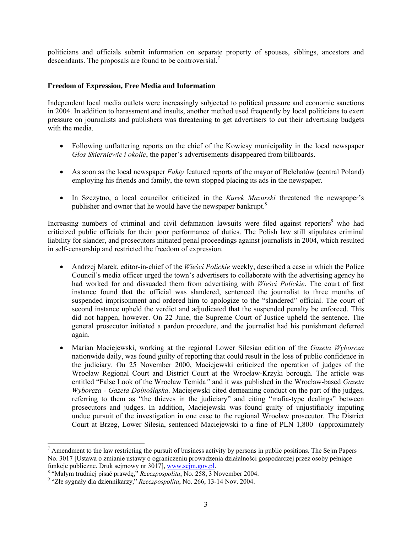politicians and officials submit information on separate property of spouses, siblings, ancestors and descendants. The proposals are found to be controversial.<sup>7</sup>

#### **Freedom of Expression, Free Media and Information**

Independent local media outlets were increasingly subjected to political pressure and economic sanctions in 2004. In addition to harassment and insults, another method used frequently by local politicians to exert pressure on journalists and publishers was threatening to get advertisers to cut their advertising budgets with the media.

- Following unflattering reports on the chief of the Kowiesy municipality in the local newspaper *Głos Skierniewic i okolic*, the paper's advertisements disappeared from billboards.
- As soon as the local newspaper *Fakty* featured reports of the mayor of Bełchatów (central Poland) employing his friends and family, the town stopped placing its ads in the newspaper.
- In Szczytno, a local councilor criticized in the *Kurek Mazurski* threatened the newspaper's publisher and owner that he would have the newspaper bankrupt.<sup>8</sup>

Increasing numbers of criminal and civil defamation lawsuits were filed against reporters<sup>9</sup> who had criticized public officials for their poor performance of duties. The Polish law still stipulates criminal liability for slander, and prosecutors initiated penal proceedings against journalists in 2004, which resulted in self-censorship and restricted the freedom of expression.

- Andrzej Marek, editor-in-chief of the *Wieści Polickie* weekly, described a case in which the Police Council's media officer urged the town's advertisers to collaborate with the advertising agency he had worked for and dissuaded them from advertising with *Wieści Polickie*. The court of first instance found that the official was slandered, sentenced the journalist to three months of suspended imprisonment and ordered him to apologize to the "slandered" official. The court of second instance upheld the verdict and adjudicated that the suspended penalty be enforced. This did not happen, however. On 22 June, the Supreme Court of Justice upheld the sentence. The general prosecutor initiated a pardon procedure, and the journalist had his punishment deferred again.
- Marian Maciejewski, working at the regional Lower Silesian edition of the *Gazeta Wyborcza*  nationwide daily, was found guilty of reporting that could result in the loss of public confidence in the judiciary. On 25 November 2000, Maciejewski criticized the operation of judges of the Wrocław Regional Court and District Court at the Wrocław-Krzyki borough. The article was entitled "False Look of the Wrocław Temida*"* and it was published in the Wrocław-based *Gazeta Wyborcza - Gazeta Dolnośląska*. Maciejewski cited demeaning conduct on the part of the judges, referring to them as "the thieves in the judiciary" and citing "mafia-type dealings" between prosecutors and judges. In addition, Maciejewski was found guilty of unjustifiably imputing undue pursuit of the investigation in one case to the regional Wrocław prosecutor. The District Court at Brzeg, Lower Silesia, sentenced Maciejewski to a fine of PLN 1,800 (approximately

 $<sup>7</sup>$  Amendment to the law restricting the pursuit of business activity by persons in public positions. The Sejm Papers</sup> No. 3017 [Ustawa o zmianie ustawy o ograniczeniu prowadzenia działalności gospodarczej przez osoby pełniące funkcje publiczne. Druk sejmowy nr 3017], www.sejm.gov.pl.

<sup>&</sup>lt;sup>8</sup> "Małym trudniej pisać prawdę," *Rzeczpospolita*, No. 258, 3 November 2004.

 <sup>&</sup>quot;Złe sygnały dla dziennikarzy," *Rzeczpospolita*, No. 266, 13-14 Nov. 2004.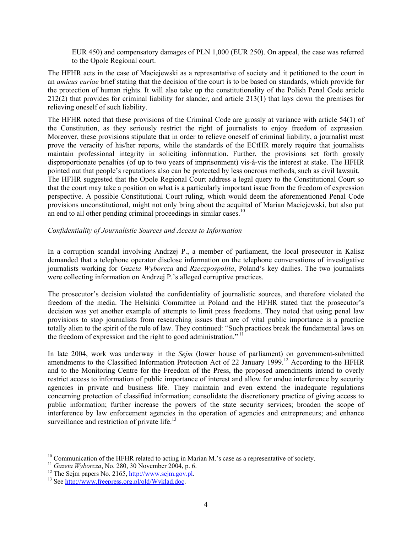EUR 450) and compensatory damages of PLN 1,000 (EUR 250). On appeal, the case was referred to the Opole Regional court.

The HFHR acts in the case of Maciejewski as a representative of society and it petitioned to the court in an *amicus curiae* brief stating that the decision of the court is to be based on standards, which provide for the protection of human rights. It will also take up the constitutionality of the Polish Penal Code article 212(2) that provides for criminal liability for slander, and article 213(1) that lays down the premises for relieving oneself of such liability.

The HFHR noted that these provisions of the Criminal Code are grossly at variance with article 54(1) of the Constitution, as they seriously restrict the right of journalists to enjoy freedom of expression. Moreover, these provisions stipulate that in order to relieve oneself of criminal liability, a journalist must prove the veracity of his/her reports, while the standards of the ECtHR merely require that journalists maintain professional integrity in soliciting information. Further, the provisions set forth grossly disproportionate penalties (of up to two years of imprisonment) vis-à-vis the interest at stake. The HFHR pointed out that people's reputations also can be protected by less onerous methods, such as civil lawsuit. The HFHR suggested that the Opole Regional Court address a legal query to the Constitutional Court so that the court may take a position on what is a particularly important issue from the freedom of expression perspective. A possible Constitutional Court ruling, which would deem the aforementioned Penal Code provisions unconstitutional, might not only bring about the acquittal of Marian Maciejewski, but also put an end to all other pending criminal proceedings in similar cases.<sup>10</sup>

## *Confidentiality of Journalistic Sources and Access to Information*

In a corruption scandal involving Andrzej P., a member of parliament, the local prosecutor in Kalisz demanded that a telephone operator disclose information on the telephone conversations of investigative journalists working for *Gazeta Wyborcza* and *Rzeczpospolita*, Poland's key dailies. The two journalists were collecting information on Andrzej P.'s alleged corruptive practices.

The prosecutor's decision violated the confidentiality of journalistic sources, and therefore violated the freedom of the media. The Helsinki Committee in Poland and the HFHR stated that the prosecutor's decision was yet another example of attempts to limit press freedoms. They noted that using penal law provisions to stop journalists from researching issues that are of vital public importance is a practice totally alien to the spirit of the rule of law. They continued: "Such practices break the fundamental laws on the freedom of expression and the right to good administration."<sup>11</sup>

In late 2004, work was underway in the *Sejm* (lower house of parliament) on government-submitted amendments to the Classified Information Protection Act of 22 January 1999.<sup>12</sup> According to the HFHR and to the Monitoring Centre for the Freedom of the Press, the proposed amendments intend to overly restrict access to information of public importance of interest and allow for undue interference by security agencies in private and business life. They maintain and even extend the inadequate regulations concerning protection of classified information; consolidate the discretionary practice of giving access to public information; further increase the powers of the state security services; broaden the scope of interference by law enforcement agencies in the operation of agencies and entrepreneurs; and enhance surveillance and restriction of private life.<sup>13</sup>

<sup>&</sup>lt;sup>10</sup> Communication of the HFHR related to acting in Marian M.'s case as a representative of society.<br><sup>11</sup> Gazeta Wyborcza, No. 280, 30 November 2004, p. 6.<br><sup>12</sup> The Sejm papers No. 2165, <u>http://www.sejm.gov.pl</u>.<br><sup>13</sup> See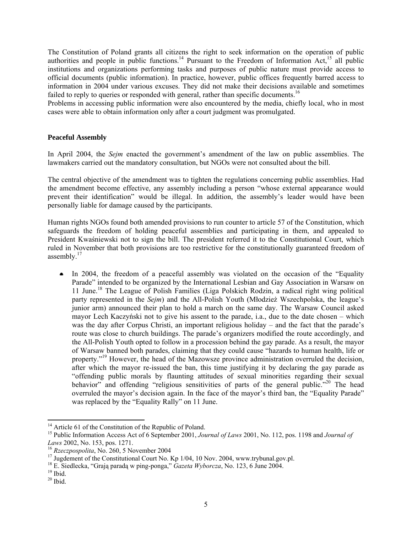The Constitution of Poland grants all citizens the right to seek information on the operation of public authorities and people in public functions.<sup>14</sup> Pursuant to the Freedom of Information Act,<sup>15</sup> all public institutions and organizations performing tasks and purposes of public nature must provide access to official documents (public information). In practice, however, public offices frequently barred access to information in 2004 under various excuses. They did not make their decisions available and sometimes failed to reply to queries or responded with general, rather than specific documents.<sup>16</sup>

Problems in accessing public information were also encountered by the media, chiefly local, who in most cases were able to obtain information only after a court judgment was promulgated.

## **Peaceful Assembly**

In April 2004, the *Sejm* enacted the government's amendment of the law on public assemblies. The lawmakers carried out the mandatory consultation, but NGOs were not consulted about the bill.

The central objective of the amendment was to tighten the regulations concerning public assemblies. Had the amendment become effective, any assembly including a person "whose external appearance would prevent their identification" would be illegal. In addition, the assembly's leader would have been personally liable for damage caused by the participants.

Human rights NGOs found both amended provisions to run counter to article 57 of the Constitution, which safeguards the freedom of holding peaceful assemblies and participating in them, and appealed to President Kwaśniewski not to sign the bill. The president referred it to the Constitutional Court, which ruled in November that both provisions are too restrictive for the constitutionally guaranteed freedom of assembly.<sup>17</sup>

In 2004, the freedom of a peaceful assembly was violated on the occasion of the "Equality Parade" intended to be organized by the International Lesbian and Gay Association in Warsaw on 11 June.18 The League of Polish Families (Liga Polskich Rodzin, a radical right wing political party represented in the *Sejm*) and the All-Polish Youth (Młodzież Wszechpolska, the league's junior arm) announced their plan to hold a march on the same day. The Warsaw Council asked mayor Lech Kaczyński not to give his assent to the parade, i.a., due to the date chosen – which was the day after Corpus Christi, an important religious holiday – and the fact that the parade's route was close to church buildings. The parade's organizers modified the route accordingly, and the All-Polish Youth opted to follow in a procession behind the gay parade. As a result, the mayor of Warsaw banned both parades, claiming that they could cause "hazards to human health, life or property."19 However, the head of the Mazowsze province administration overruled the decision, after which the mayor re-issued the ban, this time justifying it by declaring the gay parade as "offending public morals by flaunting attitudes of sexual minorities regarding their sexual behavior" and offending "religious sensitivities of parts of the general public."<sup>20</sup> The head overruled the mayor's decision again. In the face of the mayor's third ban, the "Equality Parade" was replaced by the "Equality Rally" on 11 June.

<sup>&</sup>lt;sup>14</sup> Article 61 of the Constitution of the Republic of Poland.

<sup>&</sup>lt;sup>15</sup> Public Information Access Act of 6 September 2001, *Journal of Laws* 2001, No. 112, pos. 1198 and *Journal of Laws* 2002, No. 153, pos. 1271.

<sup>&</sup>lt;sup>16</sup> *Rzeczpospolita*, No. 260, 5 November 2004<br><sup>17</sup> Jugdement of the Constitutional Court No. Kp 1/04, 10 Nov. 2004, www.trybunal.gov.pl.

<sup>&</sup>lt;sup>18</sup> E. Siedlecka, "Grają paradą w ping-ponga," *Gazeta Wyborcza*, No. 123, 6 June 2004.<br><sup>19</sup> Ibid.

 $^{20}$  Ibid.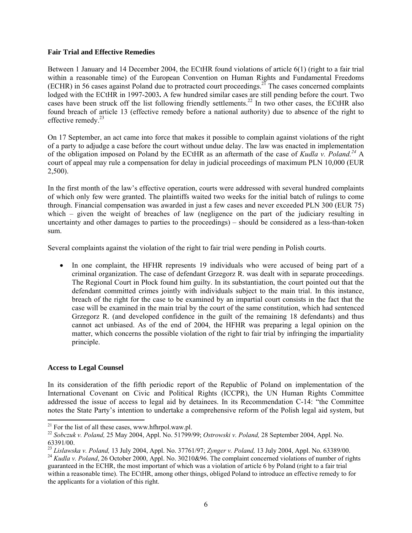## **Fair Trial and Effective Remedies**

Between 1 January and 14 December 2004, the ECtHR found violations of article 6(1) (right to a fair trial within a reasonable time) of the European Convention on Human Rights and Fundamental Freedoms (ECHR) in 56 cases against Poland due to protracted court proceedings.21 The cases concerned complaints lodged with the ECtHR in 1997-2003**.** A few hundred similar cases are still pending before the court. Two cases have been struck off the list following friendly settlements.<sup>22</sup> In two other cases, the ECtHR also found breach of article 13 (effective remedy before a national authority) due to absence of the right to effective remedy.<sup>23</sup>

On 17 September, an act came into force that makes it possible to complain against violations of the right of a party to adjudge a case before the court without undue delay. The law was enacted in implementation of the obligation imposed on Poland by the ECtHR as an aftermath of the case of *Kudla v. Poland.24* A court of appeal may rule a compensation for delay in judicial proceedings of maximum PLN 10,000 (EUR 2,500).

In the first month of the law's effective operation, courts were addressed with several hundred complaints of which only few were granted. The plaintiffs waited two weeks for the initial batch of rulings to come through. Financial compensation was awarded in just a few cases and never exceeded PLN 300 (EUR 75) which – given the weight of breaches of law (negligence on the part of the judiciary resulting in uncertainty and other damages to parties to the proceedings) – should be considered as a less-than-token sum.

Several complaints against the violation of the right to fair trial were pending in Polish courts.

• In one complaint, the HFHR represents 19 individuals who were accused of being part of a criminal organization. The case of defendant Grzegorz R. was dealt with in separate proceedings. The Regional Court in Płock found him guilty. In its substantiation, the court pointed out that the defendant committed crimes jointly with individuals subject to the main trial. In this instance, breach of the right for the case to be examined by an impartial court consists in the fact that the case will be examined in the main trial by the court of the same constitution, which had sentenced Grzegorz R. (and developed confidence in the guilt of the remaining 18 defendants) and thus cannot act unbiased. As of the end of 2004, the HFHR was preparing a legal opinion on the matter, which concerns the possible violation of the right to fair trial by infringing the impartiality principle.

## **Access to Legal Counsel**

In its consideration of the fifth periodic report of the Republic of Poland on implementation of the International Covenant on Civic and Political Rights (ICCPR), the UN Human Rights Committee addressed the issue of access to legal aid by detainees. In its Recommendation C-14: "the Committee notes the State Party's intention to undertake a comprehensive reform of the Polish legal aid system, but

 $^{21}$  For the list of all these cases, www.hfhrpol.waw.pl.

<sup>&</sup>lt;sup>22</sup> Sobczuk v. Poland, 25 May 2004, Appl. No. 51799/99; *Ostrowski v. Poland,* 28 September 2004, Appl. No.

<sup>63391/00.&</sup>lt;br><sup>23</sup> Lislawska v. Poland, 13 July 2004, Appl. No. 37761/97; Zynger v. Poland, 13 July 2004, Appl. No. 63389/00.

<sup>&</sup>lt;sup>24</sup> Kudla v. Poland, 26 October 2000, Appl. No. 30210&96. The complaint concerned violations of number of rights guaranteed in the ECHR, the most important of which was a violation of article 6 by Poland (right to a fair trial within a reasonable time). The ECtHR, among other things, obliged Poland to introduce an effective remedy to for the applicants for a violation of this right.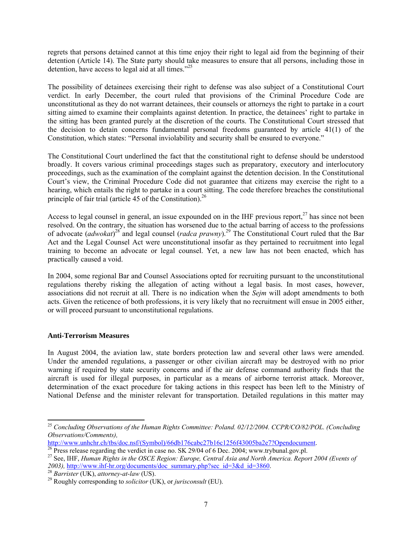regrets that persons detained cannot at this time enjoy their right to legal aid from the beginning of their detention (Article 14). The State party should take measures to ensure that all persons, including those in detention, have access to legal aid at all times. $^{225}$ 

The possibility of detainees exercising their right to defense was also subject of a Constitutional Court verdict. In early December, the court ruled that provisions of the Criminal Procedure Code are unconstitutional as they do not warrant detainees, their counsels or attorneys the right to partake in a court sitting aimed to examine their complaints against detention. In practice, the detainees' right to partake in the sitting has been granted purely at the discretion of the courts. The Constitutional Court stressed that the decision to detain concerns fundamental personal freedoms guaranteed by article 41(1) of the Constitution, which states: "Personal inviolability and security shall be ensured to everyone."

The Constitutional Court underlined the fact that the constitutional right to defense should be understood broadly. It covers various criminal proceedings stages such as preparatory, executory and interlocutory proceedings, such as the examination of the complaint against the detention decision. In the Constitutional Court's view, the Criminal Procedure Code did not guarantee that citizens may exercise the right to a hearing, which entails the right to partake in a court sitting. The code therefore breaches the constitutional principle of fair trial (article 45 of the Constitution). $^{26}$ 

Access to legal counsel in general, an issue expounded on in the IHF previous report, $^{27}$  has since not been resolved. On the contrary, the situation has worsened due to the actual barring of access to the professions of advocate (*adwokat*)<sup>28</sup> and legal counsel (*radca prawny*).<sup>29</sup> The Constitutional Court ruled that the Bar Act and the Legal Counsel Act were unconstitutional insofar as they pertained to recruitment into legal training to become an advocate or legal counsel. Yet, a new law has not been enacted, which has practically caused a void.

In 2004, some regional Bar and Counsel Associations opted for recruiting pursuant to the unconstitutional regulations thereby risking the allegation of acting without a legal basis. In most cases, however, associations did not recruit at all. There is no indication when the *Sejm* will adopt amendments to both acts. Given the reticence of both professions, it is very likely that no recruitment will ensue in 2005 either, or will proceed pursuant to unconstitutional regulations.

## **Anti-Terrorism Measures**

In August 2004, the aviation law, state borders protection law and several other laws were amended. Under the amended regulations, a passenger or other civilian aircraft may be destroyed with no prior warning if required by state security concerns and if the air defense command authority finds that the aircraft is used for illegal purposes, in particular as a means of airborne terrorist attack. Moreover, determination of the exact procedure for taking actions in this respect has been left to the Ministry of National Defense and the minister relevant for transportation. Detailed regulations in this matter may

<sup>25</sup> *Concluding Observations of the Human Rights Committee: Poland. 02/12/2004. CCPR/CO/82/POL. (Concluding Observations/Comments),*

<sup>&</sup>lt;sup>26</sup> Press release regarding the verdict in case no. SK 29/04 of 6 Dec. 2004; www.trybunal.gov.pl.<br><sup>27</sup> See, IHF, *Human Rights in the OSCE Region: Europe, Central Asia and North America. Report 2004 (Events of 2003),* http://www.ihf-hr.org/documents/doc\_summary.php?sec\_id=3&d\_id=3860. 28 *Barrister* (UK), *attorney-at-law* (US). 29 Roughly corresponding to *solicitor* (UK), or *jurisconsult* (EU).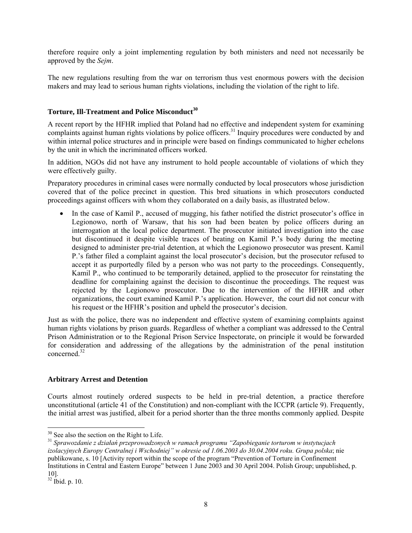therefore require only a joint implementing regulation by both ministers and need not necessarily be approved by the *Sejm*.

The new regulations resulting from the war on terrorism thus vest enormous powers with the decision makers and may lead to serious human rights violations, including the violation of the right to life.

## **Torture, Ill-Treatment and Police Misconduct<sup>30</sup>**

A recent report by the HFHR implied that Poland had no effective and independent system for examining complaints against human rights violations by police officers.<sup>31</sup> Inquiry procedures were conducted by and within internal police structures and in principle were based on findings communicated to higher echelons by the unit in which the incriminated officers worked.

In addition, NGOs did not have any instrument to hold people accountable of violations of which they were effectively guilty.

Preparatory procedures in criminal cases were normally conducted by local prosecutors whose jurisdiction covered that of the police precinct in question. This bred situations in which prosecutors conducted proceedings against officers with whom they collaborated on a daily basis, as illustrated below.

In the case of Kamil P., accused of mugging, his father notified the district prosecutor's office in Legionowo, north of Warsaw, that his son had been beaten by police officers during an interrogation at the local police department. The prosecutor initiated investigation into the case but discontinued it despite visible traces of beating on Kamil P.'s body during the meeting designed to administer pre-trial detention, at which the Legionowo prosecutor was present. Kamil P.'s father filed a complaint against the local prosecutor's decision, but the prosecutor refused to accept it as purportedly filed by a person who was not party to the proceedings. Consequently, Kamil P., who continued to be temporarily detained, applied to the prosecutor for reinstating the deadline for complaining against the decision to discontinue the proceedings. The request was rejected by the Legionowo prosecutor. Due to the intervention of the HFHR and other organizations, the court examined Kamil P.'s application. However, the court did not concur with his request or the HFHR's position and upheld the prosecutor's decision.

Just as with the police, there was no independent and effective system of examining complaints against human rights violations by prison guards. Regardless of whether a compliant was addressed to the Central Prison Administration or to the Regional Prison Service Inspectorate, on principle it would be forwarded for consideration and addressing of the allegations by the administration of the penal institution concerned.32

## **Arbitrary Arrest and Detention**

Courts almost routinely ordered suspects to be held in pre-trial detention, a practice therefore unconstitutional (article 41 of the Constitution) and non-compliant with the ICCPR (article 9). Frequently, the initial arrest was justified, albeit for a period shorter than the three months commonly applied. Despite

<sup>31</sup> Sprawozdanie z działań przeprowadzonych w ramach programu "Zapobieganie torturom w instytucjach *izolacyjnych Europy Centralnej i Wschodniej" w okresie od 1.06.2003 do 30.04.2004 roku. Grupa polska*; nie publikowane, s. 10 [Activity report within the scope of the program "Prevention of Torture in Confinement Institutions in Central and Eastern Europe" between 1 June 2003 and 30 April 2004. Polish Group; unpublished, p. 10].

<sup>&</sup>lt;sup>30</sup> See also the section on the Right to Life.

<sup>32</sup> Ibid. p. 10.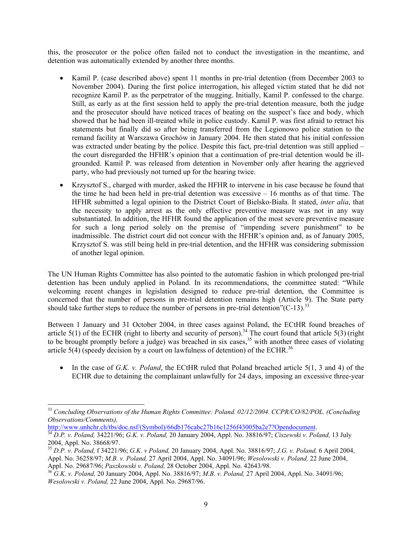this, the prosecutor or the police often failed not to conduct the investigation in the meantime, and detention was automatically extended by another three months.

- Kamil P. (case described above) spent 11 months in pre-trial detention (from December 2003 to November 2004). During the first police interrogation, his alleged victim stated that he did not recognize Kamil P. as the perpetrator of the mugging. Initially, Kamil P. confessed to the charge. Still, as early as at the first session held to apply the pre-trial detention measure, both the judge and the prosecutor should have noticed traces of beating on the suspect's face and body, which showed that he had been ill-treated while in police custody. Kamil P. was first afraid to retract his statements but finally did so after being transferred from the Legionowo police station to the remand facility at Warszawa Grochów in January 2004. He then stated that his initial confession was extracted under beating by the police. Despite this fact, pre-trial detention was still applied – the court disregarded the HFHR's opinion that a continuation of pre-trial detention would be illgrounded. Kamil P. was released from detention in November only after hearing the aggrieved party, who had previously not turned up for the hearing twice.
- Krzysztof S., charged with murder, asked the HFHR to intervene in his case because he found that the time he had been held in pre-trial detention was excessive – 16 months as of that time. The HFHR submitted a legal opinion to the District Court of Bielsko-Biała. It stated, *inter alia*, that the necessity to apply arrest as the only effective preventive measure was not in any way substantiated. In addition, the HFHR found the application of the most severe preventive measure for such a long period solely on the premise of "impending severe punishment" to be inadmissible. The district court did not concur with the HFHR's opinion and, as of January 2005, Krzysztof S. was still being held in pre-trial detention, and the HFHR was considering submission of another legal opinion.

The UN Human Rights Committee has also pointed to the automatic fashion in which prolonged pre-trial detention has been unduly applied in Poland. In its recommendations, the committee stated: "While welcoming recent changes in legislation designed to reduce pre-trial detention, the Committee is concerned that the number of persons in pre-trial detention remains high (Article 9). The State party should take further steps to reduce the number of persons in pre-trial detention"( $C-13$ ).<sup>33</sup>

Between 1 January and 31 October 2004, in three cases against Poland, the ECtHR found breaches of article  $5(1)$  of the ECHR (right to liberty and security of person).<sup>34</sup> The court found that article  $5(3)$  (right to be brought promptly before a judge) was breached in six cases,  $35$  with another three cases of violating article 5(4) (speedy decision by a court on lawfulness of detention) of the ECHR.<sup>36</sup>

• In the case of *G.K. v. Poland*, the ECtHR ruled that Poland breached article 5(1, 3 and 4) of the ECHR due to detaining the complainant unlawfully for 24 days, imposing an excessive three-year

 <sup>33</sup> *Concluding Observations of the Human Rights Committee: Poland. 02/12/2004. CCPR/CO/82/POL. (Concluding Observations/Comments),*

<sup>&</sup>lt;sup>34</sup> D.P. v. Poland, 34221/96; *G.K. v. Poland, 20 January 2004, Appl. No. 38816/97; Ciszewski v. Poland, 13 July* 2004, Appl. No. 38668/97.

<sup>35</sup> *D.P. v. Poland,* f 34221/96; *G.K. v Poland,* 20 January 2004, Appl. No. 38816/97; *J.G. v. Poland,* 6 April 2004, Appl. No. 36258/97; *M.B. v. Poland,* 27 April 2004, Appl. No. 34091/96; *Wesolowski v. Poland,* 22 June 2004,

<sup>&</sup>lt;sup>36</sup>G.K. v. Poland, 20 January 2004, Appl. No. 38816/97; *M.B. v. Poland,* 27 April 2004, Appl. No. 34091/96; *Wesolowski v. Poland,* 22 June 2004, Appl. No. 29687/96.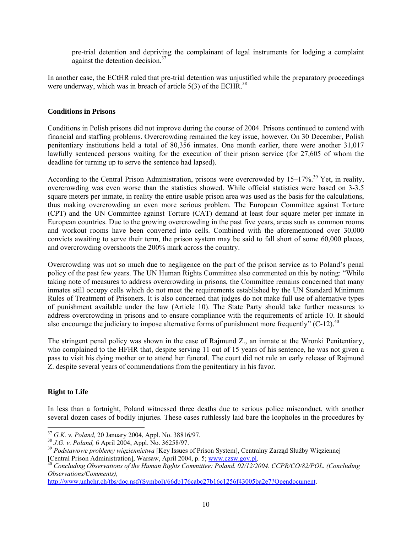pre-trial detention and depriving the complainant of legal instruments for lodging a complaint against the detention decision  $37$ 

In another case, the ECtHR ruled that pre-trial detention was unjustified while the preparatory proceedings were underway, which was in breach of article  $5(3)$  of the ECHR.<sup>38</sup>

## **Conditions in Prisons**

Conditions in Polish prisons did not improve during the course of 2004. Prisons continued to contend with financial and staffing problems. Overcrowding remained the key issue, however. On 30 December, Polish penitentiary institutions held a total of 80,356 inmates. One month earlier, there were another 31,017 lawfully sentenced persons waiting for the execution of their prison service (for 27,605 of whom the deadline for turning up to serve the sentence had lapsed).

According to the Central Prison Administration, prisons were overcrowded by 15–17%.<sup>39</sup> Yet, in reality, overcrowding was even worse than the statistics showed. While official statistics were based on 3-3.5 square meters per inmate, in reality the entire usable prison area was used as the basis for the calculations, thus making overcrowding an even more serious problem. The European Committee against Torture (CPT) and the UN Committee against Torture (CAT) demand at least four square meter per inmate in European countries. Due to the growing overcrowding in the past five years, areas such as common rooms and workout rooms have been converted into cells. Combined with the aforementioned over 30,000 convicts awaiting to serve their term, the prison system may be said to fall short of some 60,000 places, and overcrowding overshoots the 200% mark across the country.

Overcrowding was not so much due to negligence on the part of the prison service as to Poland's penal policy of the past few years. The UN Human Rights Committee also commented on this by noting: "While taking note of measures to address overcrowding in prisons, the Committee remains concerned that many inmates still occupy cells which do not meet the requirements established by the UN Standard Minimum Rules of Treatment of Prisoners. It is also concerned that judges do not make full use of alternative types of punishment available under the law (Article 10). The State Party should take further measures to address overcrowding in prisons and to ensure compliance with the requirements of article 10. It should also encourage the judiciary to impose alternative forms of punishment more frequently"  $(C-12)^{40}$ 

The stringent penal policy was shown in the case of Rajmund Z., an inmate at the Wronki Penitentiary, who complained to the HFHR that, despite serving 11 out of 15 years of his sentence, he was not given a pass to visit his dying mother or to attend her funeral. The court did not rule an early release of Rajmund Z. despite several years of commendations from the penitentiary in his favor.

# **Right to Life**

In less than a fortnight, Poland witnessed three deaths due to serious police misconduct, with another several dozen cases of bodily injuries. These cases ruthlessly laid bare the loopholes in the procedures by

 $37$  G.K. v. Poland, 20 January 2004, Appl. No. 38816/97.

 $^{38}$  J.G. v. Poland, 6 April 2004, Appl. No. 36258/97.<br> $^{39}$  Podstawowe problemy więziennictwa [Key Issues of Prison System], Centralny Zarząd Służby Więziennej [Central Prison Administration], Warsaw, April 2004, p. 5; www.czsw.gov.pl. 40 *Concluding Observations of the Human Rights Committee: Poland. 02/12/2004. CCPR/CO/82/POL. (Concluding* 

*Observations/Comments),*

http://www.unhchr.ch/tbs/doc.nsf/(Symbol)/66db176cabc27b16c1256f43005ba2e7?Opendocument.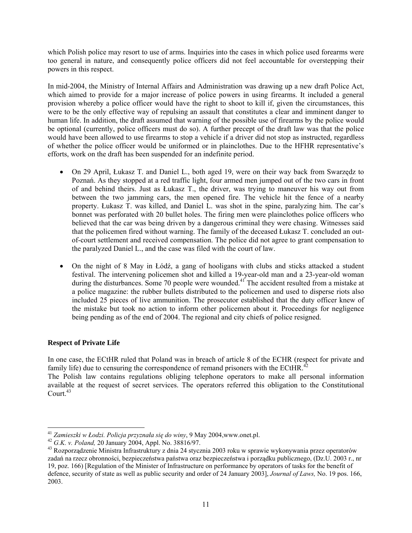which Polish police may resort to use of arms. Inquiries into the cases in which police used forearms were too general in nature, and consequently police officers did not feel accountable for overstepping their powers in this respect.

In mid-2004, the Ministry of Internal Affairs and Administration was drawing up a new draft Police Act, which aimed to provide for a major increase of police powers in using firearms. It included a general provision whereby a police officer would have the right to shoot to kill if, given the circumstances, this were to be the only effective way of repulsing an assault that constitutes a clear and imminent danger to human life. In addition, the draft assumed that warning of the possible use of firearms by the police would be optional (currently, police officers must do so). A further precept of the draft law was that the police would have been allowed to use firearms to stop a vehicle if a driver did not stop as instructed, regardless of whether the police officer would be uniformed or in plainclothes. Due to the HFHR representative's efforts, work on the draft has been suspended for an indefinite period.

- On 29 April, Łukasz T. and Daniel L., both aged 19, were on their way back from Swarzędz to Poznań. As they stopped at a red traffic light, four armed men jumped out of the two cars in front of and behind theirs. Just as Łukasz T., the driver, was trying to maneuver his way out from between the two jamming cars, the men opened fire. The vehicle hit the fence of a nearby property. Łukasz T. was killed, and Daniel L. was shot in the spine, paralyzing him. The car's bonnet was perforated with 20 bullet holes. The firing men were plainclothes police officers who believed that the car was being driven by a dangerous criminal they were chasing. Witnesses said that the policemen fired without warning. The family of the deceased Łukasz T. concluded an outof-court settlement and received compensation. The police did not agree to grant compensation to the paralyzed Daniel L., and the case was filed with the court of law.
- On the night of 8 May in Łódź, a gang of hooligans with clubs and sticks attacked a student festival. The intervening policemen shot and killed a 19-year-old man and a 23-year-old woman during the disturbances. Some 70 people were wounded.<sup>41</sup> The accident resulted from a mistake at a police magazine: the rubber bullets distributed to the policemen and used to disperse riots also included 25 pieces of live ammunition. The prosecutor established that the duty officer knew of the mistake but took no action to inform other policemen about it. Proceedings for negligence being pending as of the end of 2004. The regional and city chiefs of police resigned.

# **Respect of Private Life**

In one case, the ECtHR ruled that Poland was in breach of article 8 of the ECHR (respect for private and family life) due to censuring the correspondence of remand prisoners with the ECtHR. $^{42}$ 

The Polish law contains regulations obliging telephone operators to make all personal information available at the request of secret services. The operators referred this obligation to the Constitutional Court $43$ 

<sup>&</sup>lt;sup>41</sup> Zamieszki w Łodzi. Policja przyznała się do winy, 9 May 2004, www.onet.pl.

 $^{42}$  G.K. v. Poland, 20 January 2004, Appl. No. 38816/97. zadań na rzecz obronności, bezpieczeństwa państwa oraz bezpieczeństwa i porządku publicznego, (Dz.U. 2003 r., nr 19, poz. 166) [Regulation of the Minister of Infrastructure on performance by operators of tasks for the benefit of defence, security of state as well as public security and order of 24 January 2003], *Journal of Laws,* No. 19 pos. 166, 2003.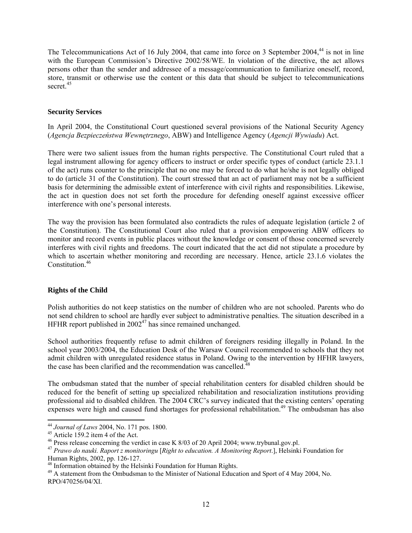The Telecommunications Act of 16 July 2004, that came into force on 3 September 2004,<sup>44</sup> is not in line with the European Commission's Directive 2002/58/WE. In violation of the directive, the act allows persons other than the sender and addressee of a message/communication to familiarize oneself, record, store, transmit or otherwise use the content or this data that should be subject to telecommunications secret.<sup>45</sup>

## **Security Services**

In April 2004, the Constitutional Court questioned several provisions of the National Security Agency (*Agencja Bezpieczeństwa Wewnętrznego*, ABW) and Intelligence Agency (*Agencji Wywiadu*) Act.

There were two salient issues from the human rights perspective. The Constitutional Court ruled that a legal instrument allowing for agency officers to instruct or order specific types of conduct (article 23.1.1 of the act) runs counter to the principle that no one may be forced to do what he/she is not legally obliged to do (article 31 of the Constitution). The court stressed that an act of parliament may not be a sufficient basis for determining the admissible extent of interference with civil rights and responsibilities. Likewise, the act in question does not set forth the procedure for defending oneself against excessive officer interference with one's personal interests.

The way the provision has been formulated also contradicts the rules of adequate legislation (article 2 of the Constitution). The Constitutional Court also ruled that a provision empowering ABW officers to monitor and record events in public places without the knowledge or consent of those concerned severely interferes with civil rights and freedoms. The court indicated that the act did not stipulate a procedure by which to ascertain whether monitoring and recording are necessary. Hence, article 23.1.6 violates the Constitution<sup>46</sup>

## **Rights of the Child**

Polish authorities do not keep statistics on the number of children who are not schooled. Parents who do not send children to school are hardly ever subject to administrative penalties. The situation described in a HFHR report published in  $2002^{47}$  has since remained unchanged.

School authorities frequently refuse to admit children of foreigners residing illegally in Poland. In the school year 2003/2004, the Education Desk of the Warsaw Council recommended to schools that they not admit children with unregulated residence status in Poland. Owing to the intervention by HFHR lawyers, the case has been clarified and the recommendation was cancelled.<sup>48</sup>

The ombudsman stated that the number of special rehabilitation centers for disabled children should be reduced for the benefit of setting up specialized rehabilitation and resocialization institutions providing professional aid to disabled children. The 2004 CRC's survey indicated that the existing centers' operating expenses were high and caused fund shortages for professional rehabilitation.<sup>49</sup> The ombudsman has also

<sup>44</sup> *Journal of Laws* 2004, No. 171 pos. 1800. 45 Article 159.2 item 4 of the Act.

<sup>46</sup> Press release concerning the verdict in case K 8/03 of 20 April 2004; www.trybunal.gov.pl.

<sup>47</sup> *Prawo do nauki. Raport z monitoringu* [*Right to education. A Monitoring Report*.], Helsinki Foundation for Human Rights, 2002, pp. 126-127.

<sup>48</sup> Information obtained by the Helsinki Foundation for Human Rights.

<sup>&</sup>lt;sup>49</sup> A statement from the Ombudsman to the Minister of National Education and Sport of 4 May 2004, No. RPO/470256/04/XI.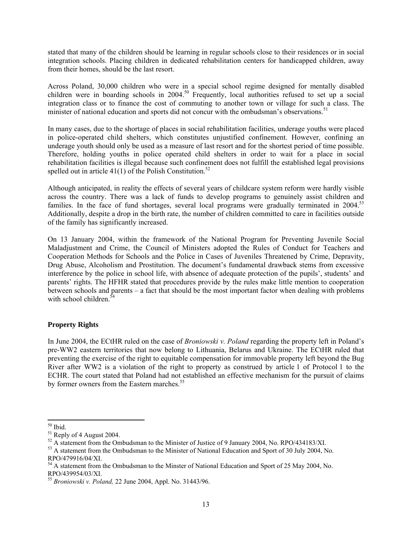stated that many of the children should be learning in regular schools close to their residences or in social integration schools. Placing children in dedicated rehabilitation centers for handicapped children, away from their homes, should be the last resort.

Across Poland, 30,000 children who were in a special school regime designed for mentally disabled children were in boarding schools in  $2004$ <sup>50</sup> Frequently, local authorities refused to set up a social integration class or to finance the cost of commuting to another town or village for such a class. The minister of national education and sports did not concur with the ombudsman's observations.<sup>51</sup>

In many cases, due to the shortage of places in social rehabilitation facilities, underage youths were placed in police-operated child shelters, which constitutes unjustified confinement. However, confining an underage youth should only be used as a measure of last resort and for the shortest period of time possible. Therefore, holding youths in police operated child shelters in order to wait for a place in social rehabilitation facilities is illegal because such confinement does not fulfill the established legal provisions spelled out in article  $41(1)$  of the Polish Constitution.<sup>52</sup>

Although anticipated, in reality the effects of several years of childcare system reform were hardly visible across the country. There was a lack of funds to develop programs to genuinely assist children and families. In the face of fund shortages, several local programs were gradually terminated in 2004.<sup>53</sup> Additionally, despite a drop in the birth rate, the number of children committed to care in facilities outside of the family has significantly increased.

On 13 January 2004, within the framework of the National Program for Preventing Juvenile Social Maladjustment and Crime, the Council of Ministers adopted the Rules of Conduct for Teachers and Cooperation Methods for Schools and the Police in Cases of Juveniles Threatened by Crime, Depravity, Drug Abuse, Alcoholism and Prostitution. The document's fundamental drawback stems from excessive interference by the police in school life, with absence of adequate protection of the pupils', students' and parents' rights. The HFHR stated that procedures provide by the rules make little mention to cooperation between schools and parents – a fact that should be the most important factor when dealing with problems with school children.<sup>5</sup>

## **Property Rights**

In June 2004, the ECtHR ruled on the case of *Broniowski v. Poland* regarding the property left in Poland's pre-WW2 eastern territories that now belong to Lithuania, Belarus and Ukraine. The ECtHR ruled that preventing the exercise of the right to equitable compensation for immovable property left beyond the Bug River after WW2 is a violation of the right to property as construed by article 1 of Protocol 1 to the ECHR. The court stated that Poland had not established an effective mechanism for the pursuit of claims by former owners from the Eastern marches.<sup>55</sup>

 50 Ibid.

<sup>51</sup> Reply of 4 August 2004.

 $52$  A statement from the Ombudsman to the Minister of Justice of 9 January 2004, No. RPO/434183/XI.

<sup>&</sup>lt;sup>53</sup> A statement from the Ombudsman to the Minister of National Education and Sport of 30 July 2004, No. RPO/479916/04/XI.

<sup>&</sup>lt;sup>54</sup> A statement from the Ombudsman to the Minster of National Education and Sport of 25 May 2004, No. RPO/439954/03/XI.

<sup>55</sup> *Broniowski v. Poland,* 22 June 2004, Appl. No. 31443/96.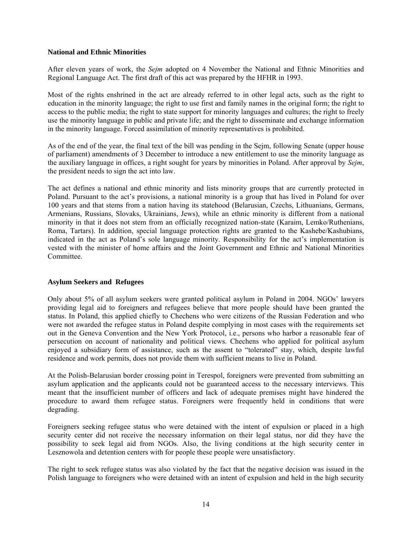## **National and Ethnic Minorities**

After eleven years of work, the *Sejm* adopted on 4 November the National and Ethnic Minorities and Regional Language Act. The first draft of this act was prepared by the HFHR in 1993.

Most of the rights enshrined in the act are already referred to in other legal acts, such as the right to education in the minority language; the right to use first and family names in the original form; the right to access to the public media; the right to state support for minority languages and cultures; the right to freely use the minority language in public and private life; and the right to disseminate and exchange information in the minority language. Forced assimilation of minority representatives is prohibited.

As of the end of the year, the final text of the bill was pending in the Sejm, following Senate (upper house of parliament) amendments of 3 December to introduce a new entitlement to use the minority language as the auxiliary language in offices, a right sought for years by minorities in Poland. After approval by *Sejm*, the president needs to sign the act into law.

The act defines a national and ethnic minority and lists minority groups that are currently protected in Poland. Pursuant to the act's provisions, a national minority is a group that has lived in Poland for over 100 years and that stems from a nation having its statehood (Belarusian, Czechs, Lithuanians, Germans, Armenians, Russians, Slovaks, Ukrainians, Jews), while an ethnic minority is different from a national minority in that it does not stem from an officially recognized nation-state (Karaim, Lemko/Ruthenians, Roma, Tartars). In addition, special language protection rights are granted to the Kashebe/Kashubians, indicated in the act as Poland's sole language minority. Responsibility for the act's implementation is vested with the minister of home affairs and the Joint Government and Ethnic and National Minorities **Committee** 

## **Asylum Seekers and Refugees**

Only about 5% of all asylum seekers were granted political asylum in Poland in 2004. NGOs' lawyers providing legal aid to foreigners and refugees believe that more people should have been granted the status. In Poland, this applied chiefly to Chechens who were citizens of the Russian Federation and who were not awarded the refugee status in Poland despite complying in most cases with the requirements set out in the Geneva Convention and the New York Protocol, i.e., persons who harbor a reasonable fear of persecution on account of nationality and political views. Chechens who applied for political asylum enjoyed a subsidiary form of assistance, such as the assent to "tolerated" stay, which, despite lawful residence and work permits, does not provide them with sufficient means to live in Poland.

At the Polish-Belarusian border crossing point in Terespol, foreigners were prevented from submitting an asylum application and the applicants could not be guaranteed access to the necessary interviews. This meant that the insufficient number of officers and lack of adequate premises might have hindered the procedure to award them refugee status. Foreigners were frequently held in conditions that were degrading.

Foreigners seeking refugee status who were detained with the intent of expulsion or placed in a high security center did not receive the necessary information on their legal status, nor did they have the possibility to seek legal aid from NGOs. Also, the living conditions at the high security center in Lesznowola and detention centers with for people these people were unsatisfactory.

The right to seek refugee status was also violated by the fact that the negative decision was issued in the Polish language to foreigners who were detained with an intent of expulsion and held in the high security